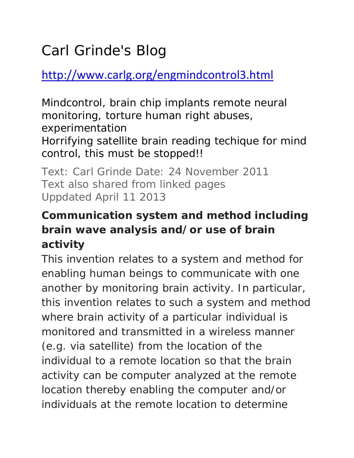# Carl Grinde's Blog

http://www.carlg.org/engmindcontrol3.html

Mindcontrol, brain chip implants remote neural monitoring, torture human right abuses, experimentation Horrifying satellite brain reading techique for mind control, this must be stopped!!

Text: Carl Grinde Date: 24 November 2011 Text also shared from linked pages Uppdated April 11 2013

### **Communication system and method including brain wave analysis and/or use of brain activity**

This invention relates to a system and method for enabling human beings to communicate with one another by monitoring brain activity. In particular, this invention relates to such a system and method where brain activity of a particular individual is monitored and transmitted in a wireless manner (e.g. via satellite) from the location of the individual to a remote location so that the brain activity can be computer analyzed at the remote location thereby enabling the computer and/or individuals at the remote location to determine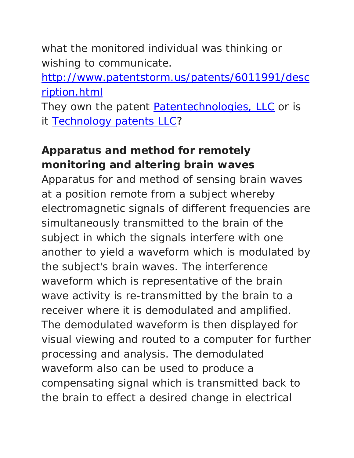what the monitored individual was thinking or wishing to communicate.

http://www.patentstorm.us/patents/6011991/desc ription.html

They own the patent Patentechnologies, LLC or is it **Technology patents LLC?** 

### **Apparatus and method for remotely monitoring and altering brain waves**

Apparatus for and method of sensing brain waves at a position remote from a subject whereby electromagnetic signals of different frequencies are simultaneously transmitted to the brain of the subject in which the signals interfere with one another to yield a waveform which is modulated by the subject's brain waves. The interference waveform which is representative of the brain wave activity is re-transmitted by the brain to a receiver where it is demodulated and amplified. The demodulated waveform is then displayed for visual viewing and routed to a computer for further processing and analysis. The demodulated waveform also can be used to produce a compensating signal which is transmitted back to the brain to effect a desired change in electrical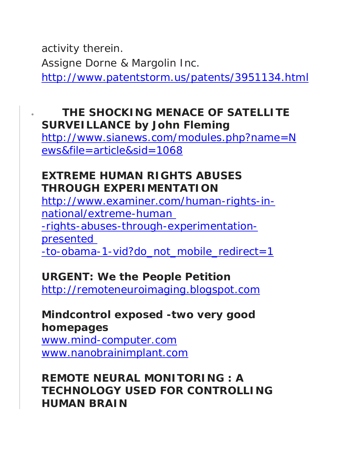activity therein. Assigne Dorne & Margolin Inc. http://www.patentstorm.us/patents/3951134.html

#### • **THE SHOCKING MENACE OF SATELLITE SURVEILLANCE by John Fleming**

http://www.sianews.com/modules.php?name=N ews&file=article&sid=1068

#### **EXTREME HUMAN RIGHTS ABUSES THROUGH EXPERIMENTATION**

http://www.examiner.com/human-rights-innational/extreme-human -rights-abuses-through-experimentationpresented -to-obama-1-vid?do\_not\_mobile\_redirect=1

#### **URGENT: We the People Petition**

http://remoteneuroimaging.blogspot.com

#### **Mindcontrol exposed -two very good homepages**

www.mind-computer.com www.nanobrainimplant.com

#### **REMOTE NEURAL MONITORING : A TECHNOLOGY USED FOR CONTROLLING HUMAN BRAIN**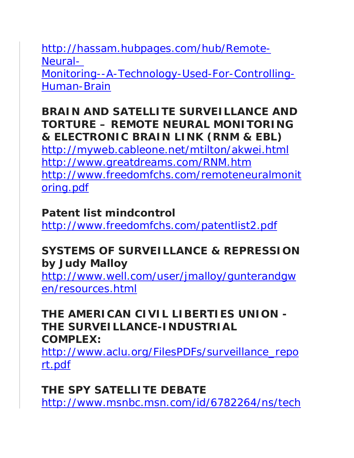http://hassam.hubpages.com/hub/Remote-Neural-Monitoring--A-Technology-Used-For-Controlling-Human-Brain

#### **BRAIN AND SATELLITE SURVEILLANCE AND TORTURE – REMOTE NEURAL MONITORING & ELECTRONIC BRAIN LINK (RNM & EBL)**

http://myweb.cableone.net/mtilton/akwei.html http://www.greatdreams.com/RNM.htm http://www.freedomfchs.com/remoteneuralmonit oring.pdf

#### **Patent list mindcontrol**

http://www.freedomfchs.com/patentlist2.pdf

#### **SYSTEMS OF SURVEILLANCE & REPRESSION by Judy Malloy**

http://www.well.com/user/jmalloy/gunterandgw en/resources.html

#### **THE AMERICAN CIVIL LIBERTIES UNION - THE SURVEILLANCE-INDUSTRIAL COMPLEX:**

http://www.aclu.org/FilesPDFs/surveillance\_repo rt.pdf

### **THE SPY SATELLITE DEBATE**

http://www.msnbc.msn.com/id/6782264/ns/tech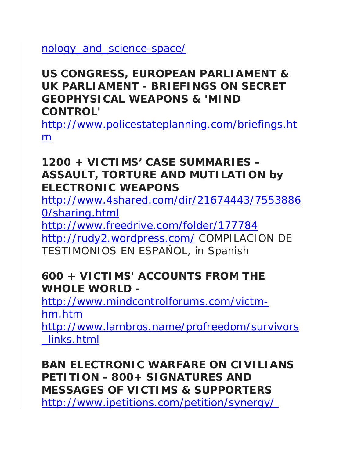nology\_and\_science-space/

#### **US CONGRESS, EUROPEAN PARLIAMENT & UK PARLIAMENT - BRIEFINGS ON SECRET GEOPHYSICAL WEAPONS & 'MIND CONTROL'**

http://www.policestateplanning.com/briefings.ht m

#### **1200 + VICTIMS' CASE SUMMARIES – ASSAULT, TORTURE AND MUTILATION by ELECTRONIC WEAPONS**

http://www.4shared.com/dir/21674443/7553886 0/sharing.html

http://www.freedrive.com/folder/177784

http://rudy2.wordpress.com/ COMPILACION DE TESTIMONIOS EN ESPAÑOL, in Spanish

#### **600 + VICTIMS' ACCOUNTS FROM THE WHOLE WORLD -**

http://www.mindcontrolforums.com/victmhm.htm

http://www.lambros.name/profreedom/survivors \_links.html

**BAN ELECTRONIC WARFARE ON CIVILIANS PETITION - 800+ SIGNATURES AND MESSAGES OF VICTIMS & SUPPORTERS** http://www.ipetitions.com/petition/synergy/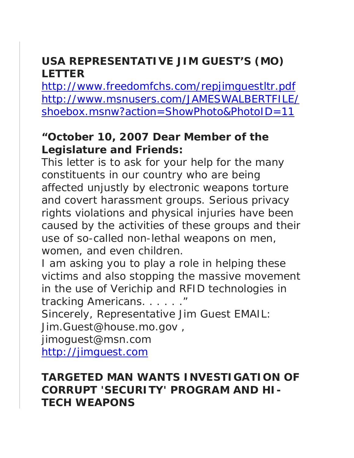#### **USA REPRESENTATIVE JIM GUEST'S (MO) LETTER**

http://www.freedomfchs.com/repjimguestltr.pdf http://www.msnusers.com/JAMESWALBERTFILE/ shoebox.msnw?action=ShowPhoto&PhotoID=11

#### **"October 10, 2007 Dear Member of the Legislature and Friends:**

This letter is to ask for your help for the many constituents in our country who are being affected unjustly by electronic weapons torture and covert harassment groups. Serious privacy rights violations and physical injuries have been caused by the activities of these groups and their use of so-called non-lethal weapons on men, women, and even children.

I am asking you to play a role in helping these victims and also stopping the massive movement in the use of Verichip and RFID technologies in tracking Americans. . . . . . "

Sincerely, Representative Jim Guest EMAIL:

Jim.Guest@house.mo.gov ,

jimoguest@msn.com

http://jimguest.com

#### **TARGETED MAN WANTS INVESTIGATION OF CORRUPT 'SECURITY' PROGRAM AND HI-TECH WEAPONS**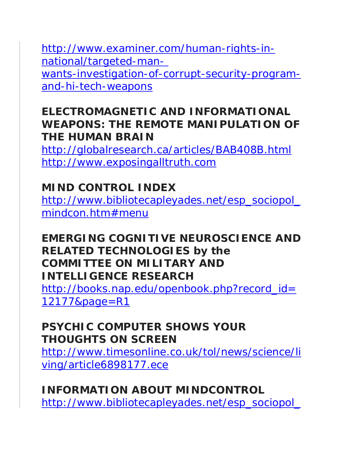http://www.examiner.com/human-rights-innational/targeted-manwants-investigation-of-corrupt-security-programand-hi-tech-weapons

#### **ELECTROMAGNETIC AND INFORMATIONAL WEAPONS: THE REMOTE MANIPULATION OF THE HUMAN BRAIN**

http://globalresearch.ca/articles/BAB408B.html http://www.exposingalltruth.com

### **MIND CONTROL INDEX**

http://www.bibliotecapleyades.net/esp\_sociopol\_ mindcon.htm#menu

#### **EMERGING COGNITIVE NEUROSCIENCE AND RELATED TECHNOLOGIES by the COMMITTEE ON MILITARY AND INTELLIGENCE RESEARCH**

http://books.nap.edu/openbook.php?record\_id= 12177&page=R1

#### **PSYCHIC COMPUTER SHOWS YOUR THOUGHTS ON SCREEN**

http://www.timesonline.co.uk/tol/news/science/li ving/article6898177.ece

#### **INFORMATION ABOUT MINDCONTROL** http://www.bibliotecapleyades.net/esp\_sociopol\_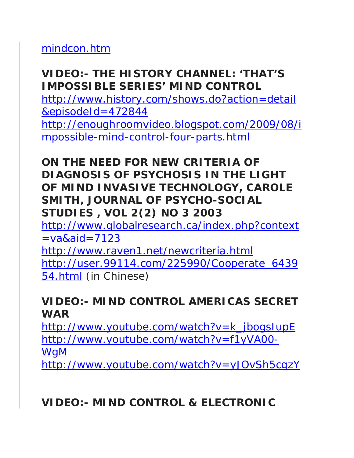mindcon.htm

### **VIDEO:- THE HISTORY CHANNEL: 'THAT'S IMPOSSIBLE SERIES' MIND CONTROL**

http://www.history.com/shows.do?action=detail &episodeId=472844

http://enoughroomvideo.blogspot.com/2009/08/i mpossible-mind-control-four-parts.html

#### **ON THE NEED FOR NEW CRITERIA OF DIAGNOSIS OF PSYCHOSIS IN THE LIGHT OF MIND INVASIVE TECHNOLOGY, CAROLE SMITH, JOURNAL OF PSYCHO-SOCIAL STUDIES , VOL 2(2) NO 3 2003**

http://www.globalresearch.ca/index.php?context  $=$ va&aid=7123

http://www.raven1.net/newcriteria.html http://user.99114.com/225990/Cooperate\_6439 54.html (in Chinese)

#### **VIDEO:- MIND CONTROL AMERICAS SECRET WAR**

http://www.youtube.com/watch?v=k\_jbogsIupE http://www.youtube.com/watch?v=f1yVA00- WgM

http://www.youtube.com/watch?v=yJOvSh5cgzY

### **VIDEO:- MIND CONTROL & ELECTRONIC**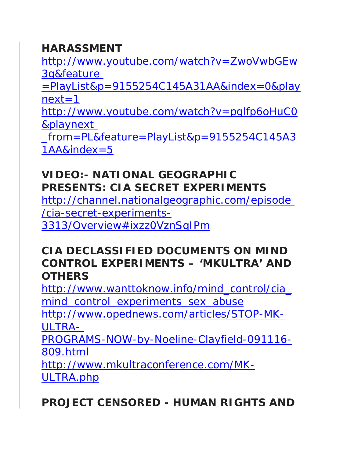#### **HARASSMENT**

http://www.youtube.com/watch?v=ZwoVwbGEw 3g&feature

 $=$ PlayList&p=9155254C145A31AA&index=0&play  $next=1$ 

http://www.youtube.com/watch?v=pglfp6oHuC0 &playnext

\_from=PL&feature=PlayList&p=9155254C145A3 1AA&index=5

### **VIDEO:- NATIONAL GEOGRAPHIC PRESENTS: CIA SECRET EXPERIMENTS**

http://channel.nationalgeographic.com/episode /cia-secret-experiments-3313/Overview#ixzz0VznSqIPm

#### **CIA DECLASSIFIED DOCUMENTS ON MIND CONTROL EXPERIMENTS – 'MKULTRA' AND OTHERS**

http://www.wanttoknow.info/mind\_control/cia mind control experiments sex abuse

http://www.opednews.com/articles/STOP-MK-ULTRA-

PROGRAMS-NOW-by-Noeline-Clayfield-091116- 809.html

http://www.mkultraconference.com/MK-ULTRA.php

**PROJECT CENSORED - HUMAN RIGHTS AND**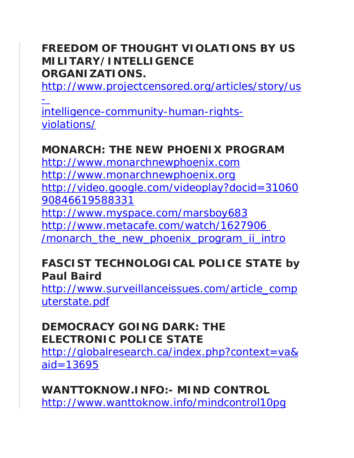#### **FREEDOM OF THOUGHT VIOLATIONS BY US MILITARY/INTELLIGENCE ORGANIZATIONS.**

http://www.projectcensored.org/articles/story/us

-

intelligence-community-human-rightsviolations/

### **MONARCH: THE NEW PHOENIX PROGRAM**

http://www.monarchnewphoenix.com http://www.monarchnewphoenix.org http://video.google.com/videoplay?docid=31060 90846619588331 http://www.myspace.com/marsboy683 http://www.metacafe.com/watch/1627906 /monarch\_the\_new\_phoenix\_program\_ii\_intro

#### **FASCIST TECHNOLOGICAL POLICE STATE by Paul Baird**

http://www.surveillanceissues.com/article\_comp uterstate.pdf

#### **DEMOCRACY GOING DARK: THE ELECTRONIC POLICE STATE**

http://globalresearch.ca/index.php?context=va& aid=13695

**WANTTOKNOW.INFO:- MIND CONTROL** http://www.wanttoknow.info/mindcontrol10pg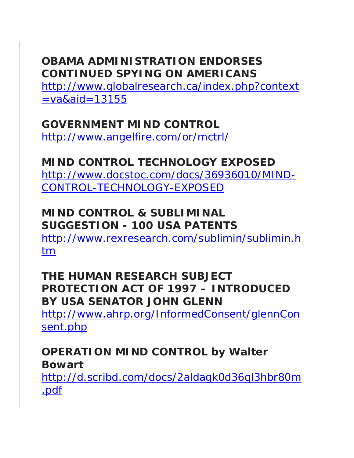### **OBAMA ADMINISTRATION ENDORSES CONTINUED SPYING ON AMERICANS**

http://www.globalresearch.ca/index.php?context  $=$ va&aid=13155

### **GOVERNMENT MIND CONTROL**

http://www.angelfire.com/or/mctrl/

### **MIND CONTROL TECHNOLOGY EXPOSED**

http://www.docstoc.com/docs/36936010/MIND-CONTROL-TECHNOLOGY-EXPOSED

#### **MIND CONTROL & SUBLIMINAL SUGGESTION - 100 USA PATENTS**

http://www.rexresearch.com/sublimin/sublimin.h tm

#### **THE HUMAN RESEARCH SUBJECT PROTECTION ACT OF 1997 – INTRODUCED BY USA SENATOR JOHN GLENN**

http://www.ahrp.org/InformedConsent/glennCon sent.php

#### **OPERATION MIND CONTROL by Walter Bowart**

http://d.scribd.com/docs/2aldagk0d36ql3hbr80m .pdf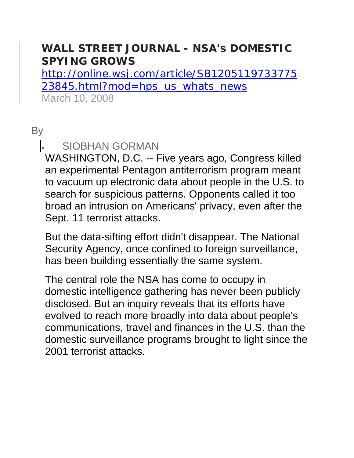#### **WALL STREET JOURNAL - NSA's DOMESTIC SPYING GROWS**

http://online.wsj.com/article/SB1205119733775 23845.html?mod=hps\_us\_whats\_news March 10, 2008

#### **By**

#### • SIOBHAN GORMAN

WASHINGTON, D.C. -- Five years ago, Congress killed an experimental Pentagon antiterrorism program meant to vacuum up electronic data about people in the U.S. to search for suspicious patterns. Opponents called it too broad an intrusion on Americans' privacy, even after the Sept. 11 terrorist attacks.

But the data-sifting effort didn't disappear. The National Security Agency, once confined to foreign surveillance, has been building essentially the same system.

The central role the NSA has come to occupy in domestic intelligence gathering has never been publicly disclosed. But an inquiry reveals that its efforts have evolved to reach more broadly into data about people's communications, travel and finances in the U.S. than the domestic surveillance programs brought to light since the 2001 terrorist attacks.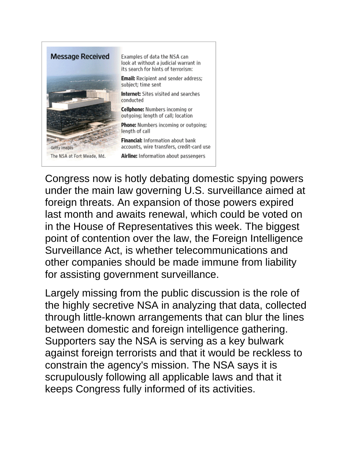

Congress now is hotly debating domestic spying powers under the main law governing U.S. surveillance aimed at foreign threats. An expansion of those powers expired last month and awaits renewal, which could be voted on in the House of Representatives this week. The biggest point of contention over the law, the Foreign Intelligence Surveillance Act, is whether telecommunications and other companies should be made immune from liability for assisting government surveillance.

Largely missing from the public discussion is the role of the highly secretive NSA in analyzing that data, collected through little-known arrangements that can blur the lines between domestic and foreign intelligence gathering. Supporters say the NSA is serving as a key bulwark against foreign terrorists and that it would be reckless to constrain the agency's mission. The NSA says it is scrupulously following all applicable laws and that it keeps Congress fully informed of its activities.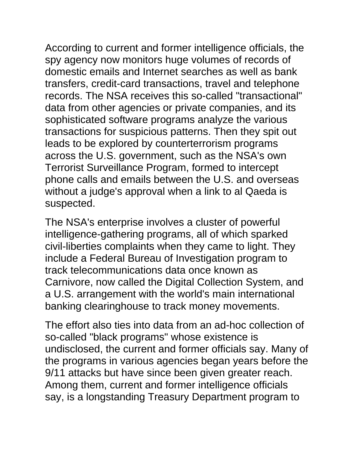According to current and former intelligence officials, the spy agency now monitors huge volumes of records of domestic emails and Internet searches as well as bank transfers, credit-card transactions, travel and telephone records. The NSA receives this so-called "transactional" data from other agencies or private companies, and its sophisticated software programs analyze the various transactions for suspicious patterns. Then they spit out leads to be explored by counterterrorism programs across the U.S. government, such as the NSA's own Terrorist Surveillance Program, formed to intercept phone calls and emails between the U.S. and overseas without a judge's approval when a link to al Qaeda is suspected.

The NSA's enterprise involves a cluster of powerful intelligence-gathering programs, all of which sparked civil-liberties complaints when they came to light. They include a Federal Bureau of Investigation program to track telecommunications data once known as Carnivore, now called the Digital Collection System, and a U.S. arrangement with the world's main international banking clearinghouse to track money movements.

The effort also ties into data from an ad-hoc collection of so-called "black programs" whose existence is undisclosed, the current and former officials say. Many of the programs in various agencies began years before the 9/11 attacks but have since been given greater reach. Among them, current and former intelligence officials say, is a longstanding Treasury Department program to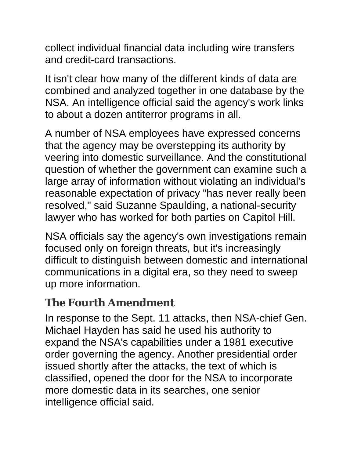collect individual financial data including wire transfers and credit-card transactions.

It isn't clear how many of the different kinds of data are combined and analyzed together in one database by the NSA. An intelligence official said the agency's work links to about a dozen antiterror programs in all.

A number of NSA employees have expressed concerns that the agency may be overstepping its authority by veering into domestic surveillance. And the constitutional question of whether the government can examine such a large array of information without violating an individual's reasonable expectation of privacy "has never really been resolved," said Suzanne Spaulding, a national-security lawyer who has worked for both parties on Capitol Hill.

NSA officials say the agency's own investigations remain focused only on foreign threats, but it's increasingly difficult to distinguish between domestic and international communications in a digital era, so they need to sweep up more information.

### **The Fourth Amendment**

In response to the Sept. 11 attacks, then NSA-chief Gen. Michael Hayden has said he used his authority to expand the NSA's capabilities under a 1981 executive order governing the agency. Another presidential order issued shortly after the attacks, the text of which is classified, opened the door for the NSA to incorporate more domestic data in its searches, one senior intelligence official said.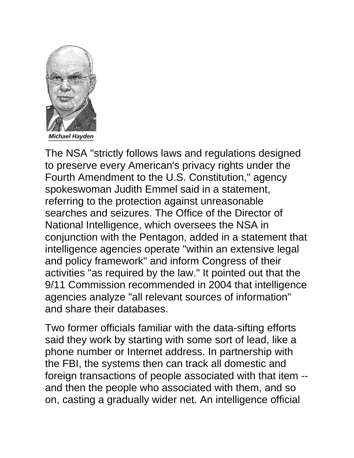

The NSA "strictly follows laws and regulations designed to preserve every American's privacy rights under the Fourth Amendment to the U.S. Constitution," agency spokeswoman Judith Emmel said in a statement, referring to the protection against unreasonable searches and seizures. The Office of the Director of National Intelligence, which oversees the NSA in conjunction with the Pentagon, added in a statement that intelligence agencies operate "within an extensive legal and policy framework" and inform Congress of their activities "as required by the law." It pointed out that the 9/11 Commission recommended in 2004 that intelligence agencies analyze "all relevant sources of information" and share their databases.

Two former officials familiar with the data-sifting efforts said they work by starting with some sort of lead, like a phone number or Internet address. In partnership with the FBI, the systems then can track all domestic and foreign transactions of people associated with that item - and then the people who associated with them, and so on, casting a gradually wider net. An intelligence official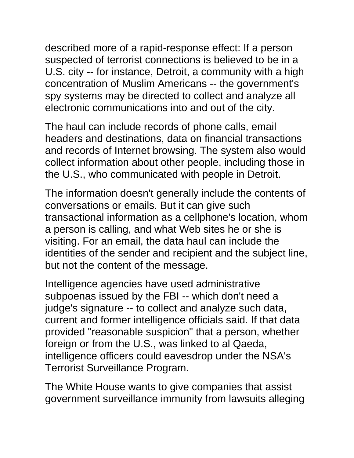described more of a rapid-response effect: If a person suspected of terrorist connections is believed to be in a U.S. city -- for instance, Detroit, a community with a high concentration of Muslim Americans -- the government's spy systems may be directed to collect and analyze all electronic communications into and out of the city.

The haul can include records of phone calls, email headers and destinations, data on financial transactions and records of Internet browsing. The system also would collect information about other people, including those in the U.S., who communicated with people in Detroit.

The information doesn't generally include the contents of conversations or emails. But it can give such transactional information as a cellphone's location, whom a person is calling, and what Web sites he or she is visiting. For an email, the data haul can include the identities of the sender and recipient and the subject line, but not the content of the message.

Intelligence agencies have used administrative subpoenas issued by the FBI -- which don't need a judge's signature -- to collect and analyze such data, current and former intelligence officials said. If that data provided "reasonable suspicion" that a person, whether foreign or from the U.S., was linked to al Qaeda, intelligence officers could eavesdrop under the NSA's Terrorist Surveillance Program.

The White House wants to give companies that assist government surveillance immunity from lawsuits alleging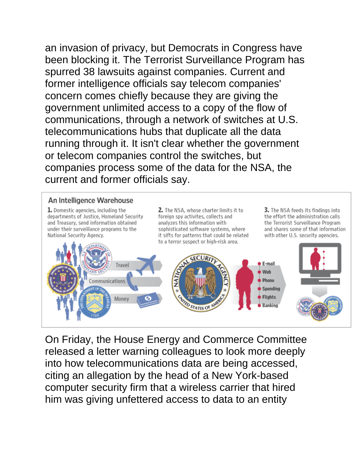an invasion of privacy, but Democrats in Congress have been blocking it. The Terrorist Surveillance Program has spurred 38 lawsuits against companies. Current and former intelligence officials say telecom companies' concern comes chiefly because they are giving the government unlimited access to a copy of the flow of communications, through a network of switches at U.S. telecommunications hubs that duplicate all the data running through it. It isn't clear whether the government or telecom companies control the switches, but companies process some of the data for the NSA, the current and former officials say.

#### An Intelligence Warehouse

1. Domestic agencies, including the departments of Justice, Homeland Security and Treasury, send information obtained under their surveillance programs to the National Security Agency.

2. The NSA, whose charter limits it to foreign spy activites, collects and analyzes this information with sophisticated software systems, where it sifts for patterns that could be related to a terror suspect or high-risk area.

3. The NSA feeds its findings into the effort the administration calls the Terrorist Surveillance Program and shares some of that information with other U.S. security agencies.



On Friday, the House Energy and Commerce Committee released a letter warning colleagues to look more deeply into how telecommunications data are being accessed, citing an allegation by the head of a New York-based computer security firm that a wireless carrier that hired him was giving unfettered access to data to an entity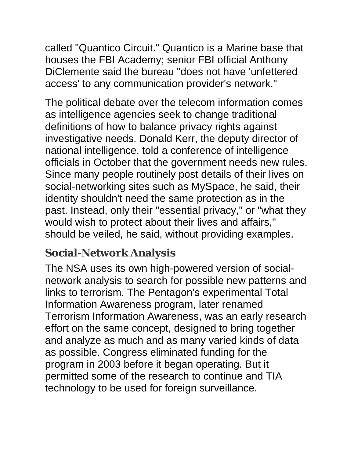called "Quantico Circuit." Quantico is a Marine base that houses the FBI Academy; senior FBI official Anthony DiClemente said the bureau "does not have 'unfettered access' to any communication provider's network."

The political debate over the telecom information comes as intelligence agencies seek to change traditional definitions of how to balance privacy rights against investigative needs. Donald Kerr, the deputy director of national intelligence, told a conference of intelligence officials in October that the government needs new rules. Since many people routinely post details of their lives on social-networking sites such as MySpace, he said, their identity shouldn't need the same protection as in the past. Instead, only their "essential privacy," or "what they would wish to protect about their lives and affairs," should be veiled, he said, without providing examples.

### **Social-Network Analysis**

The NSA uses its own high-powered version of socialnetwork analysis to search for possible new patterns and links to terrorism. The Pentagon's experimental Total Information Awareness program, later renamed Terrorism Information Awareness, was an early research effort on the same concept, designed to bring together and analyze as much and as many varied kinds of data as possible. Congress eliminated funding for the program in 2003 before it began operating. But it permitted some of the research to continue and TIA technology to be used for foreign surveillance.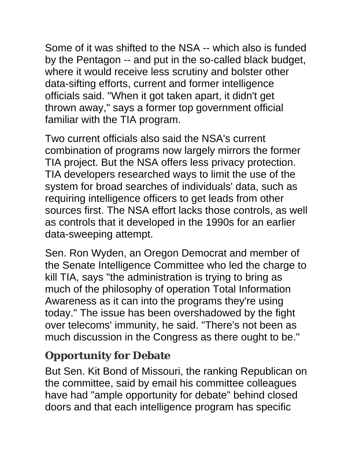Some of it was shifted to the NSA -- which also is funded by the Pentagon -- and put in the so-called black budget, where it would receive less scrutiny and bolster other data-sifting efforts, current and former intelligence officials said. "When it got taken apart, it didn't get thrown away," says a former top government official familiar with the TIA program.

Two current officials also said the NSA's current combination of programs now largely mirrors the former TIA project. But the NSA offers less privacy protection. TIA developers researched ways to limit the use of the system for broad searches of individuals' data, such as requiring intelligence officers to get leads from other sources first. The NSA effort lacks those controls, as well as controls that it developed in the 1990s for an earlier data-sweeping attempt.

Sen. Ron Wyden, an Oregon Democrat and member of the Senate Intelligence Committee who led the charge to kill TIA, says "the administration is trying to bring as much of the philosophy of operation Total Information Awareness as it can into the programs they're using today." The issue has been overshadowed by the fight over telecoms' immunity, he said. "There's not been as much discussion in the Congress as there ought to be."

### **Opportunity for Debate**

But Sen. Kit Bond of Missouri, the ranking Republican on the committee, said by email his committee colleagues have had "ample opportunity for debate" behind closed doors and that each intelligence program has specific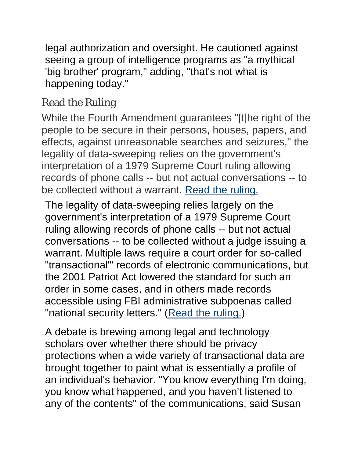legal authorization and oversight. He cautioned against seeing a group of intelligence programs as "a mythical 'big brother' program," adding, "that's not what is happening today."

### Read the Ruling

While the Fourth Amendment guarantees "[t]he right of the people to be secure in their persons, houses, papers, and effects, against unreasonable searches and seizures," the legality of data-sweeping relies on the government's interpretation of a 1979 Supreme Court ruling allowing records of phone calls -- but not actual conversations -- to be collected without a warrant. Read the ruling.

The legality of data-sweeping relies largely on the government's interpretation of a 1979 Supreme Court ruling allowing records of phone calls -- but not actual conversations -- to be collected without a judge issuing a warrant. Multiple laws require a court order for so-called "transactional'" records of electronic communications, but the 2001 Patriot Act lowered the standard for such an order in some cases, and in others made records accessible using FBI administrative subpoenas called "national security letters." (Read the ruling.)

A debate is brewing among legal and technology scholars over whether there should be privacy protections when a wide variety of transactional data are brought together to paint what is essentially a profile of an individual's behavior. "You know everything I'm doing, you know what happened, and you haven't listened to any of the contents" of the communications, said Susan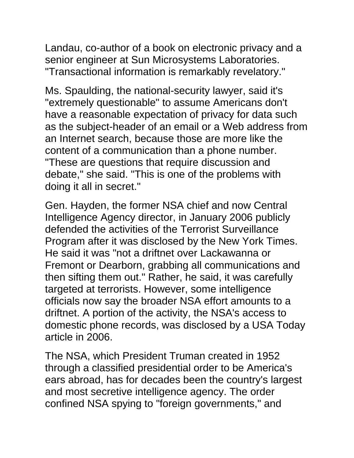Landau, co-author of a book on electronic privacy and a senior engineer at Sun Microsystems Laboratories. "Transactional information is remarkably revelatory."

Ms. Spaulding, the national-security lawyer, said it's "extremely questionable" to assume Americans don't have a reasonable expectation of privacy for data such as the subject-header of an email or a Web address from an Internet search, because those are more like the content of a communication than a phone number. "These are questions that require discussion and debate," she said. "This is one of the problems with doing it all in secret."

Gen. Hayden, the former NSA chief and now Central Intelligence Agency director, in January 2006 publicly defended the activities of the Terrorist Surveillance Program after it was disclosed by the New York Times. He said it was "not a driftnet over Lackawanna or Fremont or Dearborn, grabbing all communications and then sifting them out." Rather, he said, it was carefully targeted at terrorists. However, some intelligence officials now say the broader NSA effort amounts to a driftnet. A portion of the activity, the NSA's access to domestic phone records, was disclosed by a USA Today article in 2006.

The NSA, which President Truman created in 1952 through a classified presidential order to be America's ears abroad, has for decades been the country's largest and most secretive intelligence agency. The order confined NSA spying to "foreign governments," and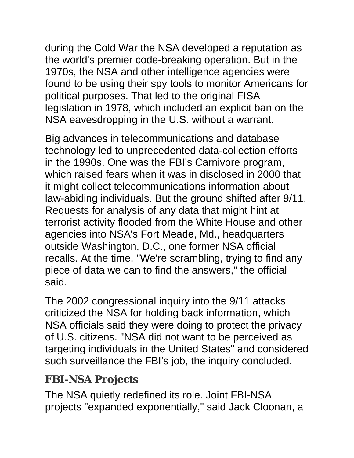during the Cold War the NSA developed a reputation as the world's premier code-breaking operation. But in the 1970s, the NSA and other intelligence agencies were found to be using their spy tools to monitor Americans for political purposes. That led to the original FISA legislation in 1978, which included an explicit ban on the NSA eavesdropping in the U.S. without a warrant.

Big advances in telecommunications and database technology led to unprecedented data-collection efforts in the 1990s. One was the FBI's Carnivore program, which raised fears when it was in disclosed in 2000 that it might collect telecommunications information about law-abiding individuals. But the ground shifted after 9/11. Requests for analysis of any data that might hint at terrorist activity flooded from the White House and other agencies into NSA's Fort Meade, Md., headquarters outside Washington, D.C., one former NSA official recalls. At the time, "We're scrambling, trying to find any piece of data we can to find the answers," the official said.

The 2002 congressional inquiry into the 9/11 attacks criticized the NSA for holding back information, which NSA officials said they were doing to protect the privacy of U.S. citizens. "NSA did not want to be perceived as targeting individuals in the United States" and considered such surveillance the FBI's job, the inquiry concluded.

### **FBI-NSA Projects**

The NSA quietly redefined its role. Joint FBI-NSA projects "expanded exponentially," said Jack Cloonan, a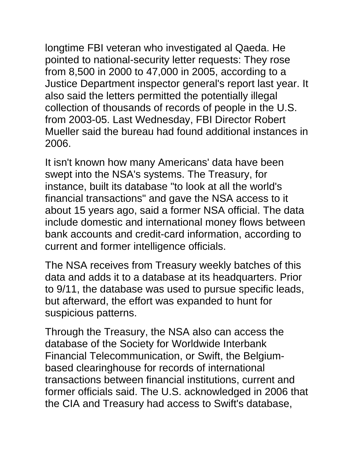longtime FBI veteran who investigated al Qaeda. He pointed to national-security letter requests: They rose from 8,500 in 2000 to 47,000 in 2005, according to a Justice Department inspector general's report last year. It also said the letters permitted the potentially illegal collection of thousands of records of people in the U.S. from 2003-05. Last Wednesday, FBI Director Robert Mueller said the bureau had found additional instances in 2006.

It isn't known how many Americans' data have been swept into the NSA's systems. The Treasury, for instance, built its database "to look at all the world's financial transactions" and gave the NSA access to it about 15 years ago, said a former NSA official. The data include domestic and international money flows between bank accounts and credit-card information, according to current and former intelligence officials.

The NSA receives from Treasury weekly batches of this data and adds it to a database at its headquarters. Prior to 9/11, the database was used to pursue specific leads, but afterward, the effort was expanded to hunt for suspicious patterns.

Through the Treasury, the NSA also can access the database of the Society for Worldwide Interbank Financial Telecommunication, or Swift, the Belgiumbased clearinghouse for records of international transactions between financial institutions, current and former officials said. The U.S. acknowledged in 2006 that the CIA and Treasury had access to Swift's database,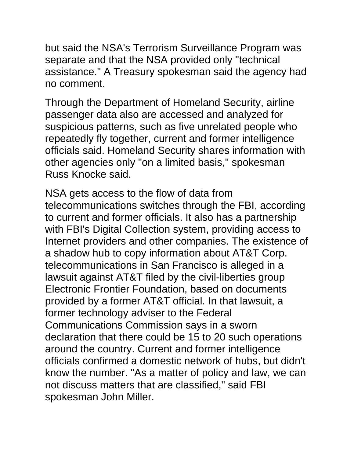but said the NSA's Terrorism Surveillance Program was separate and that the NSA provided only "technical assistance." A Treasury spokesman said the agency had no comment.

Through the Department of Homeland Security, airline passenger data also are accessed and analyzed for suspicious patterns, such as five unrelated people who repeatedly fly together, current and former intelligence officials said. Homeland Security shares information with other agencies only "on a limited basis," spokesman Russ Knocke said.

NSA gets access to the flow of data from telecommunications switches through the FBI, according to current and former officials. It also has a partnership with FBI's Digital Collection system, providing access to Internet providers and other companies. The existence of a shadow hub to copy information about AT&T Corp. telecommunications in San Francisco is alleged in a lawsuit against AT&T filed by the civil-liberties group Electronic Frontier Foundation, based on documents provided by a former AT&T official. In that lawsuit, a former technology adviser to the Federal Communications Commission says in a sworn declaration that there could be 15 to 20 such operations around the country. Current and former intelligence officials confirmed a domestic network of hubs, but didn't know the number. "As a matter of policy and law, we can not discuss matters that are classified," said FBI spokesman John Miller.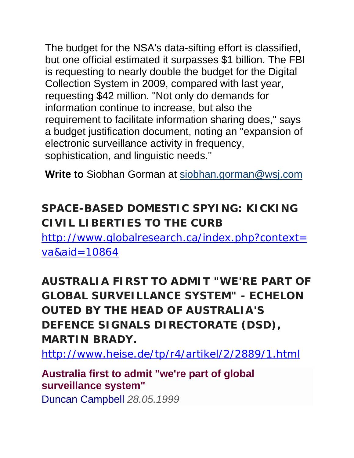The budget for the NSA's data-sifting effort is classified, but one official estimated it surpasses \$1 billion. The FBI is requesting to nearly double the budget for the Digital Collection System in 2009, compared with last year, requesting \$42 million. "Not only do demands for information continue to increase, but also the requirement to facilitate information sharing does," says a budget justification document, noting an "expansion of electronic surveillance activity in frequency, sophistication, and linguistic needs."

**Write to** Siobhan Gorman at siobhan.gorman@wsj.com

### **SPACE-BASED DOMESTIC SPYING: KICKING CIVIL LIBERTIES TO THE CURB**

http://www.globalresearch.ca/index.php?context= va&aid=10864

**AUSTRALIA FIRST TO ADMIT "WE'RE PART OF GLOBAL SURVEILLANCE SYSTEM" - ECHELON OUTED BY THE HEAD OF AUSTRALIA'S DEFENCE SIGNALS DIRECTORATE (DSD), MARTIN BRADY.**

http://www.heise.de/tp/r4/artikel/2/2889/1.html

#### **Australia first to admit "we're part of global surveillance system"**

Duncan Campbell *28.05.1999*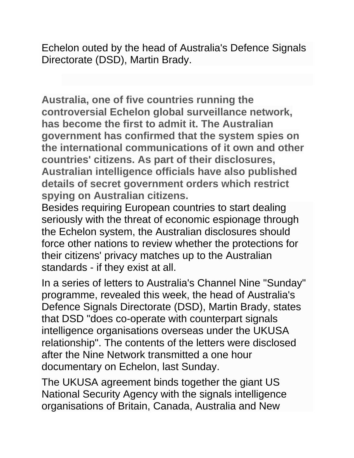Echelon outed by the head of Australia's Defence Signals Directorate (DSD), Martin Brady.

**Australia, one of five countries running the controversial Echelon global surveillance network, has become the first to admit it. The Australian government has confirmed that the system spies on the international communications of it own and other countries' citizens. As part of their disclosures, Australian intelligence officials have also published details of secret government orders which restrict spying on Australian citizens.**

Besides requiring European countries to start dealing seriously with the threat of economic espionage through the Echelon system, the Australian disclosures should force other nations to review whether the protections for their citizens' privacy matches up to the Australian standards - if they exist at all.

In a series of letters to Australia's Channel Nine "Sunday" programme, revealed this week, the head of Australia's Defence Signals Directorate (DSD), Martin Brady, states that DSD "does co-operate with counterpart signals intelligence organisations overseas under the UKUSA relationship". The contents of the letters were disclosed after the Nine Network transmitted a one hour documentary on Echelon, last Sunday.

The UKUSA agreement binds together the giant US National Security Agency with the signals intelligence organisations of Britain, Canada, Australia and New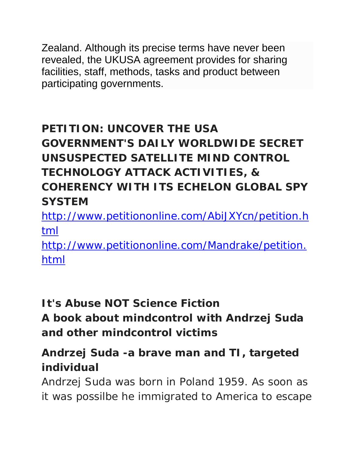Zealand. Although its precise terms have never been revealed, the UKUSA agreement provides for sharing facilities, staff, methods, tasks and product between participating governments.

## **PETITION: UNCOVER THE USA GOVERNMENT'S DAILY WORLDWIDE SECRET UNSUSPECTED SATELLITE MIND CONTROL TECHNOLOGY ATTACK ACTIVITIES, & COHERENCY WITH ITS ECHELON GLOBAL SPY SYSTEM**

http://www.petitiononline.com/AbiJXYcn/petition.h tml

http://www.petitiononline.com/Mandrake/petition. html

### **It's Abuse NOT Science Fiction**

**A book about mindcontrol with Andrzej Suda and other mindcontrol victims**

### **Andrzej Suda -a brave man and TI, targeted individual**

Andrzej Suda was born in Poland 1959. As soon as it was possilbe he immigrated to America to escape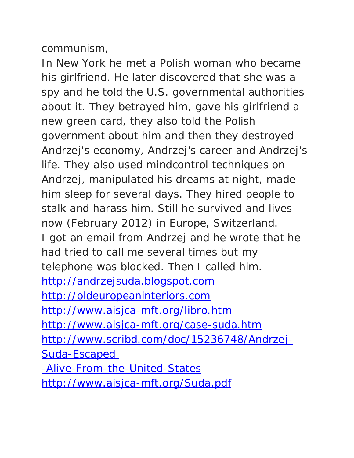communism,

In New York he met a Polish woman who became his girlfriend. He later discovered that she was a spy and he told the U.S. governmental authorities about it. They betrayed him, gave his girlfriend a new green card, they also told the Polish government about him and then they destroyed Andrzej's economy, Andrzej's career and Andrzej's life. They also used mindcontrol techniques on Andrzej, manipulated his dreams at night, made him sleep for several days. They hired people to stalk and harass him. Still he survived and lives now (February 2012) in Europe, Switzerland. I got an email from Andrzej and he wrote that he had tried to call me several times but my telephone was blocked. Then I called him. http://andrzejsuda.blogspot.com http://oldeuropeaninteriors.com http://www.aisjca-mft.org/libro.htm http://www.aisjca-mft.org/case-suda.htm http://www.scribd.com/doc/15236748/Andrzej-Suda-Escaped -Alive-From-the-United-States http://www.aisjca-mft.org/Suda.pdf